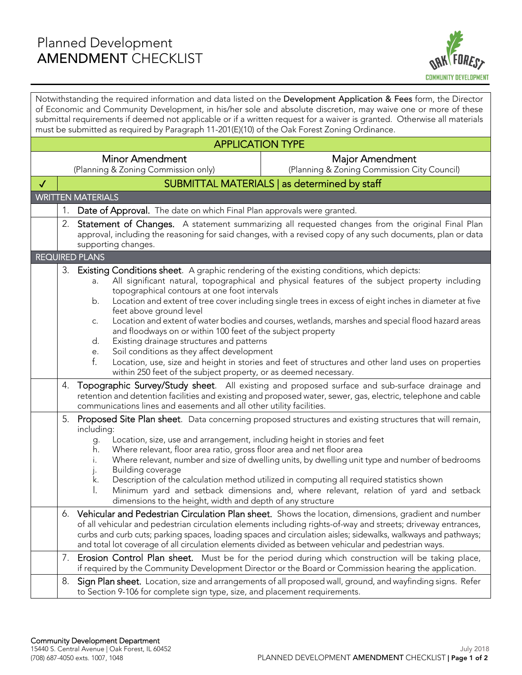

Notwithstanding the required information and data listed on the Development Application & Fees form, the Director of Economic and Community Development, in his/her sole and absolute discretion, may waive one or more of these submittal requirements if deemed not applicable or if a written request for a waiver is granted. Otherwise all materials must be submitted as required by Paragraph 11-201(E)(10) of the Oak Forest Zoning Ordinance.

| <b>APPLICATION TYPE</b>  |                                                                                                                                                                                                                                                                                               |                                                                                                                                                                                                                                                               |                                                                                                                                                                                                                                                                                                                                                                                                                                                |
|--------------------------|-----------------------------------------------------------------------------------------------------------------------------------------------------------------------------------------------------------------------------------------------------------------------------------------------|---------------------------------------------------------------------------------------------------------------------------------------------------------------------------------------------------------------------------------------------------------------|------------------------------------------------------------------------------------------------------------------------------------------------------------------------------------------------------------------------------------------------------------------------------------------------------------------------------------------------------------------------------------------------------------------------------------------------|
|                          |                                                                                                                                                                                                                                                                                               | <b>Minor Amendment</b>                                                                                                                                                                                                                                        | Major Amendment                                                                                                                                                                                                                                                                                                                                                                                                                                |
|                          |                                                                                                                                                                                                                                                                                               | (Planning & Zoning Commission only)                                                                                                                                                                                                                           | (Planning & Zoning Commission City Council)                                                                                                                                                                                                                                                                                                                                                                                                    |
| $\checkmark$             |                                                                                                                                                                                                                                                                                               |                                                                                                                                                                                                                                                               | SUBMITTAL MATERIALS   as determined by staff                                                                                                                                                                                                                                                                                                                                                                                                   |
| <b>WRITTEN MATERIALS</b> |                                                                                                                                                                                                                                                                                               |                                                                                                                                                                                                                                                               |                                                                                                                                                                                                                                                                                                                                                                                                                                                |
|                          | $1_{\cdot}$<br>Date of Approval. The date on which Final Plan approvals were granted.                                                                                                                                                                                                         |                                                                                                                                                                                                                                                               |                                                                                                                                                                                                                                                                                                                                                                                                                                                |
|                          | 2.<br>Statement of Changes. A statement summarizing all requested changes from the original Final Plan<br>approval, including the reasoning for said changes, with a revised copy of any such documents, plan or data<br>supporting changes.                                                  |                                                                                                                                                                                                                                                               |                                                                                                                                                                                                                                                                                                                                                                                                                                                |
|                          |                                                                                                                                                                                                                                                                                               | <b>REQUIRED PLANS</b>                                                                                                                                                                                                                                         |                                                                                                                                                                                                                                                                                                                                                                                                                                                |
|                          |                                                                                                                                                                                                                                                                                               | 3. Existing Conditions sheet. A graphic rendering of the existing conditions, which depicts:<br>a.<br>topographical contours at one foot intervals<br>b.<br>feet above ground level<br>C.                                                                     | All significant natural, topographical and physical features of the subject property including<br>Location and extent of tree cover including single trees in excess of eight inches in diameter at five<br>Location and extent of water bodies and courses, wetlands, marshes and special flood hazard areas                                                                                                                                  |
|                          |                                                                                                                                                                                                                                                                                               | and floodways on or within 100 feet of the subject property<br>Existing drainage structures and patterns<br>d.<br>Soil conditions as they affect development<br>е.<br>f.<br>within 250 feet of the subject property, or as deemed necessary.                  | Location, use, size and height in stories and feet of structures and other land uses on properties                                                                                                                                                                                                                                                                                                                                             |
|                          | Topographic Survey/Study sheet. All existing and proposed surface and sub-surface drainage and<br>4.<br>retention and detention facilities and existing and proposed water, sewer, gas, electric, telephone and cable<br>communications lines and easements and all other utility facilities. |                                                                                                                                                                                                                                                               |                                                                                                                                                                                                                                                                                                                                                                                                                                                |
|                          | 5.<br>Proposed Site Plan sheet. Data concerning proposed structures and existing structures that will remain,<br>including:                                                                                                                                                                   |                                                                                                                                                                                                                                                               |                                                                                                                                                                                                                                                                                                                                                                                                                                                |
|                          |                                                                                                                                                                                                                                                                                               | Location, size, use and arrangement, including height in stories and feet<br>g.<br>Where relevant, floor area ratio, gross floor area and net floor area<br>h.<br>Building coverage<br>k.<br>I.<br>dimensions to the height, width and depth of any structure | Where relevant, number and size of dwelling units, by dwelling unit type and number of bedrooms<br>Description of the calculation method utilized in computing all required statistics shown<br>Minimum yard and setback dimensions and, where relevant, relation of yard and setback                                                                                                                                                          |
|                          | 6.                                                                                                                                                                                                                                                                                            |                                                                                                                                                                                                                                                               | Vehicular and Pedestrian Circulation Plan sheet. Shows the location, dimensions, gradient and number<br>of all vehicular and pedestrian circulation elements including rights-of-way and streets; driveway entrances,<br>curbs and curb cuts; parking spaces, loading spaces and circulation aisles; sidewalks, walkways and pathways;<br>and total lot coverage of all circulation elements divided as between vehicular and pedestrian ways. |
|                          | 7.                                                                                                                                                                                                                                                                                            |                                                                                                                                                                                                                                                               | Erosion Control Plan sheet. Must be for the period during which construction will be taking place,<br>if required by the Community Development Director or the Board or Commission hearing the application.                                                                                                                                                                                                                                    |
|                          | 8.                                                                                                                                                                                                                                                                                            | to Section 9-106 for complete sign type, size, and placement requirements.                                                                                                                                                                                    | Sign Plan sheet. Location, size and arrangements of all proposed wall, ground, and wayfinding signs. Refer                                                                                                                                                                                                                                                                                                                                     |